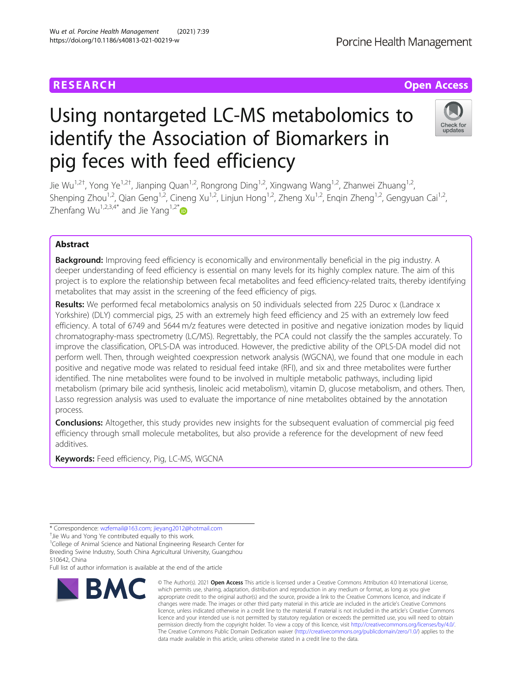# **RESEARCH CHE Open Access**

# Using nontargeted LC-MS metabolomics to identify the Association of Biomarkers in pig feces with feed efficiency

Jie Wu<sup>1,2†</sup>, Yong Ye<sup>1,2†</sup>, Jianping Quan<sup>1,2</sup>, Rongrong Ding<sup>1,2</sup>, Xingwang Wang<sup>1,2</sup>, Zhanwei Zhuang<sup>1,2</sup>, Shenping Zhou<sup>1,2</sup>, Qian Geng<sup>1,2</sup>, Cineng Xu<sup>1,2</sup>, Linjun Hong<sup>1,2</sup>, Zheng Xu<sup>1,2</sup>, Engin Zheng<sup>1,2</sup>, Gengyuan Cai<sup>1,2</sup>, Zhenfang Wu<sup>1,2,3,4[\\*](http://orcid.org/0000-0002-7031-2160)</sup> and Jie Yang<sup>1,2\*</sup>

# Abstract

**Background:** Improving feed efficiency is economically and environmentally beneficial in the pig industry. A deeper understanding of feed efficiency is essential on many levels for its highly complex nature. The aim of this project is to explore the relationship between fecal metabolites and feed efficiency-related traits, thereby identifying metabolites that may assist in the screening of the feed efficiency of pigs.

Results: We performed fecal metabolomics analysis on 50 individuals selected from 225 Duroc x (Landrace x Yorkshire) (DLY) commercial pigs, 25 with an extremely high feed efficiency and 25 with an extremely low feed efficiency. A total of 6749 and 5644 m/z features were detected in positive and negative ionization modes by liquid chromatography-mass spectrometry (LC/MS). Regrettably, the PCA could not classify the the samples accurately. To improve the classification, OPLS-DA was introduced. However, the predictive ability of the OPLS-DA model did not perform well. Then, through weighted coexpression network analysis (WGCNA), we found that one module in each positive and negative mode was related to residual feed intake (RFI), and six and three metabolites were further identified. The nine metabolites were found to be involved in multiple metabolic pathways, including lipid metabolism (primary bile acid synthesis, linoleic acid metabolism), vitamin D, glucose metabolism, and others. Then, Lasso regression analysis was used to evaluate the importance of nine metabolites obtained by the annotation process.

**Conclusions:** Altogether, this study provides new insights for the subsequent evaluation of commercial pig feed efficiency through small molecule metabolites, but also provide a reference for the development of new feed additives.

Keywords: Feed efficiency, Pig, LC-MS, WGCNA

\* Correspondence: [wzfemail@163.com;](mailto:wzfemail@163.com) [jieyang2012@hotmail.com](mailto:jieyang2012@hotmail.com) †

<sup>+</sup>Jie Wu and Yong Ye contributed equally to this work.

<sup>1</sup>College of Animal Science and National Engineering Research Center for Breeding Swine Industry, South China Agricultural University, Guangzhou 510642, China

Full list of author information is available at the end of the article



<sup>©</sup> The Author(s), 2021 **Open Access** This article is licensed under a Creative Commons Attribution 4.0 International License, which permits use, sharing, adaptation, distribution and reproduction in any medium or format, as long as you give appropriate credit to the original author(s) and the source, provide a link to the Creative Commons licence, and indicate if changes were made. The images or other third party material in this article are included in the article's Creative Commons licence, unless indicated otherwise in a credit line to the material. If material is not included in the article's Creative Commons licence and your intended use is not permitted by statutory regulation or exceeds the permitted use, you will need to obtain permission directly from the copyright holder. To view a copy of this licence, visit [http://creativecommons.org/licenses/by/4.0/.](http://creativecommons.org/licenses/by/4.0/) The Creative Commons Public Domain Dedication waiver [\(http://creativecommons.org/publicdomain/zero/1.0/](http://creativecommons.org/publicdomain/zero/1.0/)) applies to the data made available in this article, unless otherwise stated in a credit line to the data.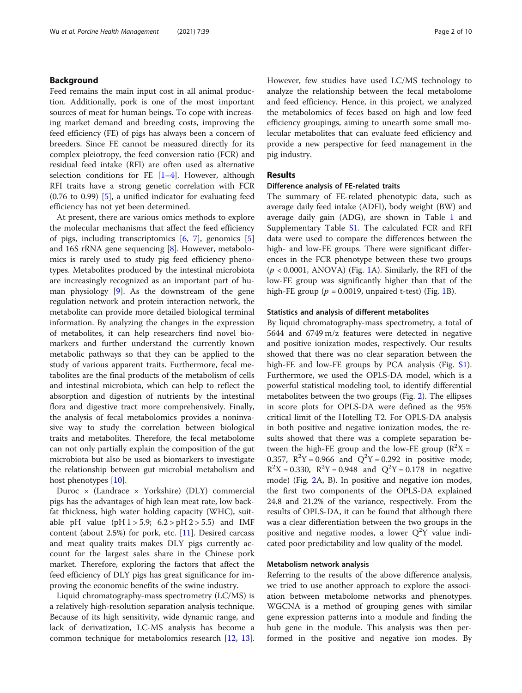# Background

Feed remains the main input cost in all animal production. Additionally, pork is one of the most important sources of meat for human beings. To cope with increasing market demand and breeding costs, improving the feed efficiency (FE) of pigs has always been a concern of breeders. Since FE cannot be measured directly for its complex pleiotropy, the feed conversion ratio (FCR) and residual feed intake (RFI) are often used as alternative selection conditions for FE  $[1-4]$  $[1-4]$  $[1-4]$  $[1-4]$  $[1-4]$ . However, although RFI traits have a strong genetic correlation with FCR  $(0.76 \text{ to } 0.99)$  [\[5](#page-8-0)], a unified indicator for evaluating feed efficiency has not yet been determined.

At present, there are various omics methods to explore the molecular mechanisms that affect the feed efficiency of pigs, including transcriptomics [\[6](#page-8-0), [7](#page-8-0)], genomics [\[5](#page-8-0)] and 16S rRNA gene sequencing [[8\]](#page-8-0). However, metabolomics is rarely used to study pig feed efficiency phenotypes. Metabolites produced by the intestinal microbiota are increasingly recognized as an important part of human physiology [\[9](#page-8-0)]. As the downstream of the gene regulation network and protein interaction network, the metabolite can provide more detailed biological terminal information. By analyzing the changes in the expression of metabolites, it can help researchers find novel biomarkers and further understand the currently known metabolic pathways so that they can be applied to the study of various apparent traits. Furthermore, fecal metabolites are the final products of the metabolism of cells and intestinal microbiota, which can help to reflect the absorption and digestion of nutrients by the intestinal flora and digestive tract more comprehensively. Finally, the analysis of fecal metabolomics provides a noninvasive way to study the correlation between biological traits and metabolites. Therefore, the fecal metabolome can not only partially explain the composition of the gut microbiota but also be used as biomarkers to investigate the relationship between gut microbial metabolism and host phenotypes [[10](#page-8-0)].

Duroc × (Landrace × Yorkshire) (DLY) commercial pigs has the advantages of high lean meat rate, low backfat thickness, high water holding capacity (WHC), suitable pH value (pH  $1 > 5.9$ ;  $6.2 > pH 2 > 5.5$ ) and IMF content (about 2.5%) for pork, etc. [\[11\]](#page-8-0). Desired carcass and meat quality traits makes DLY pigs currently account for the largest sales share in the Chinese pork market. Therefore, exploring the factors that affect the feed efficiency of DLY pigs has great significance for improving the economic benefits of the swine industry.

Liquid chromatography-mass spectrometry (LC/MS) is a relatively high-resolution separation analysis technique. Because of its high sensitivity, wide dynamic range, and lack of derivatization, LC-MS analysis has become a common technique for metabolomics research [\[12](#page-8-0), [13](#page-8-0)]. However, few studies have used LC/MS technology to analyze the relationship between the fecal metabolome and feed efficiency. Hence, in this project, we analyzed the metabolomics of feces based on high and low feed efficiency groupings, aiming to unearth some small molecular metabolites that can evaluate feed efficiency and provide a new perspective for feed management in the pig industry.

# Results

#### Difference analysis of FE-related traits

The summary of FE-related phenotypic data, such as average daily feed intake (ADFI), body weight (BW) and average daily gain (ADG), are shown in Table [1](#page-2-0) and Supplementary Table [S1](#page-8-0). The calculated FCR and RFI data were used to compare the differences between the high- and low-FE groups. There were significant differences in the FCR phenotype between these two groups  $(p < 0.0001$ , ANOVA) (Fig. [1A](#page-2-0)). Similarly, the RFI of the low-FE group was significantly higher than that of the high-FE group ( $p = 0.0019$  $p = 0.0019$  $p = 0.0019$ , unpaired t-test) (Fig. 1B).

#### Statistics and analysis of different metabolites

By liquid chromatography-mass spectrometry, a total of 5644 and 6749 m/z features were detected in negative and positive ionization modes, respectively. Our results showed that there was no clear separation between the high-FE and low-FE groups by PCA analysis (Fig. [S1](#page-8-0)). Furthermore, we used the OPLS-DA model, which is a powerful statistical modeling tool, to identify differential metabolites between the two groups (Fig. [2\)](#page-3-0). The ellipses in score plots for OPLS-DA were defined as the 95% critical limit of the Hotelling T2. For OPLS-DA analysis in both positive and negative ionization modes, the results showed that there was a complete separation between the high-FE group and the low-FE group ( $R^2X =$ 0.357,  $R^2Y = 0.966$  and  $Q^2Y = 0.292$  in positive mode;  $R^2X = 0.330$ ,  $R^2Y = 0.948$  and  $Q^2Y = 0.178$  in negative mode) (Fig. [2](#page-3-0)A, B). In positive and negative ion modes, the first two components of the OPLS-DA explained 24.8 and 21.2% of the variance, respectively. From the results of OPLS-DA, it can be found that although there was a clear differentiation between the two groups in the positive and negative modes, a lower  $Q^2Y$  value indicated poor predictability and low quality of the model.

## Metabolism network analysis

Referring to the results of the above difference analysis, we tried to use another approach to explore the association between metabolome networks and phenotypes. WGCNA is a method of grouping genes with similar gene expression patterns into a module and finding the hub gene in the module. This analysis was then performed in the positive and negative ion modes. By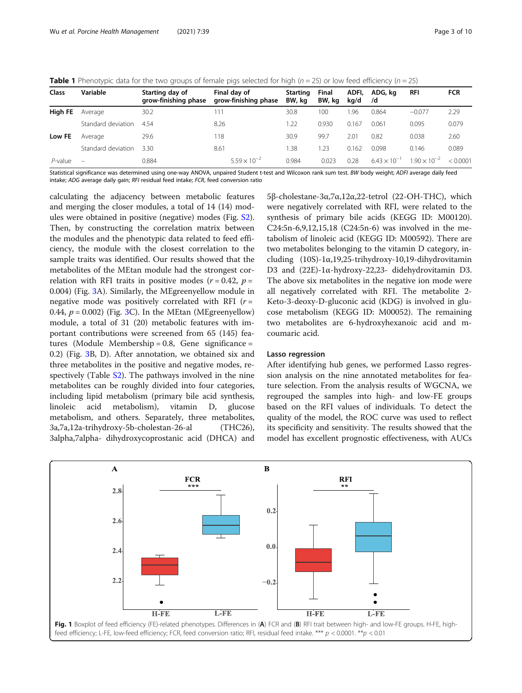<span id="page-2-0"></span>

|  |  | <b>Table 1</b> Phenotypic data for the two groups of female pigs selected for high ( $n = 25$ ) or low feed efficiency ( $n = 25$ ) |  |
|--|--|-------------------------------------------------------------------------------------------------------------------------------------|--|
|  |  |                                                                                                                                     |  |

|                | $\sim$             |                                         |                                      |                           |                        |               |                       |                       |            |
|----------------|--------------------|-----------------------------------------|--------------------------------------|---------------------------|------------------------|---------------|-----------------------|-----------------------|------------|
| Class          | Variable           | Starting day of<br>grow-finishing phase | Final dav of<br>grow-finishing phase | <b>Starting</b><br>BW, kg | <b>Final</b><br>BW, kg | ADFI,<br>kg/d | ADG, kg<br>/d         | <b>RFI</b>            | <b>FCR</b> |
| <b>High FE</b> | Average            | 30.2                                    | 111                                  | 30.8                      | 100                    | .96           | 0.864                 | $-0.077$              | 2.29       |
|                | Standard deviation | 4.54                                    | 8.26                                 | 1.22                      | 0.930                  | 0.167         | 0.061                 | 0.095                 | 0.079      |
| Low FE         | Average            | 29.6                                    | 118                                  | 30.9                      | 99.7                   | 2.01          | 0.82                  | 0.038                 | 2.60       |
|                | Standard deviation | 3.30                                    | 8.61                                 | 1.38                      | 1.23                   | 0.162         | 0.098                 | 0.146                 | 0.089      |
| $P$ -value     | $\equiv$           | 0.884                                   | $5.59 \times 10^{-2}$                | 0.984                     | 0.023                  | 0.28          | $6.43 \times 10^{-1}$ | $1.90 \times 10^{-2}$ | < 0.0001   |

Statistical significance was determined using one-way ANOVA, unpaired Student t-test and Wilcoxon rank sum test. BW body weight; ADFI average daily feed intake; ADG average daily gain; RFI residual feed intake; FCR, feed conversion ratio

calculating the adjacency between metabolic features and merging the closer modules, a total of 14 (14) modules were obtained in positive (negative) modes (Fig. [S2](#page-8-0)). Then, by constructing the correlation matrix between the modules and the phenotypic data related to feed efficiency, the module with the closest correlation to the sample traits was identified. Our results showed that the metabolites of the MEtan module had the strongest correlation with RFI traits in positive modes ( $r = 0.42$ ,  $p =$ 0.004) (Fig. [3](#page-4-0)A). Similarly, the MEgreenyellow module in negative mode was positively correlated with RFI  $(r =$ 0.44,  $p = 0.002$ ) (Fig. [3](#page-4-0)C). In the MEtan (MEgreenyellow) module, a total of 31 (20) metabolic features with important contributions were screened from 65 (145) features (Module Membership = 0.8, Gene significance = 0.2) (Fig. [3](#page-4-0)B, D). After annotation, we obtained six and three metabolites in the positive and negative modes, re-spectively (Table [S2\)](#page-8-0). The pathways involved in the nine metabolites can be roughly divided into four categories, including lipid metabolism (primary bile acid synthesis, linoleic acid metabolism), vitamin D, glucose metabolism, and others. Separately, three metabolites, 3a,7a,12a-trihydroxy-5b-cholestan-26-al (THC26), 3alpha,7alpha- dihydroxycoprostanic acid (DHCA) and

5β-cholestane-3α,7α,12α,22-tetrol (22-OH-THC), which were negatively correlated with RFI, were related to the synthesis of primary bile acids (KEGG ID: M00120). C24:5n-6,9,12,15,18 (C24:5n-6) was involved in the metabolism of linoleic acid (KEGG ID: M00592). There are two metabolites belonging to the vitamin D category, including (10S)-1α,19,25-trihydroxy-10,19-dihydrovitamin D3 and (22E)-1α-hydroxy-22,23- didehydrovitamin D3. The above six metabolites in the negative ion mode were all negatively correlated with RFI. The metabolite 2- Keto-3-deoxy-D-gluconic acid (KDG) is involved in glucose metabolism (KEGG ID: M00052). The remaining two metabolites are 6-hydroxyhexanoic acid and mcoumaric acid.

#### Lasso regression

After identifying hub genes, we performed Lasso regression analysis on the nine annotated metabolites for feature selection. From the analysis results of WGCNA, we regrouped the samples into high- and low-FE groups based on the RFI values of individuals. To detect the quality of the model, the ROC curve was used to reflect its specificity and sensitivity. The results showed that the model has excellent prognostic effectiveness, with AUCs

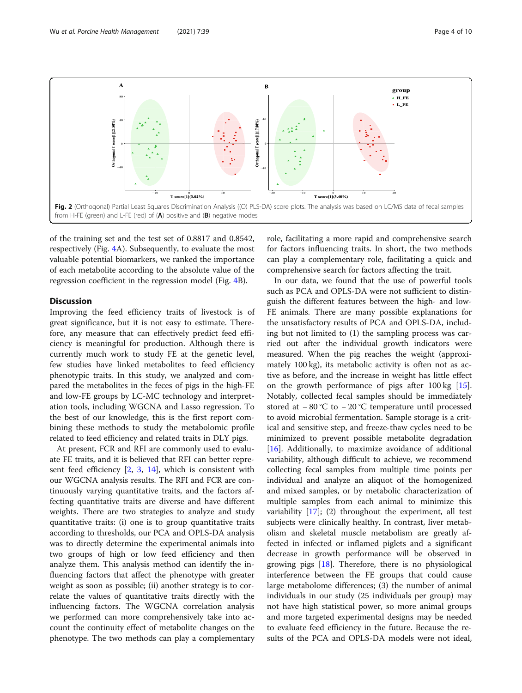<span id="page-3-0"></span>

of the training set and the test set of 0.8817 and 0.8542, respectively (Fig. [4A](#page-5-0)). Subsequently, to evaluate the most valuable potential biomarkers, we ranked the importance of each metabolite according to the absolute value of the regression coefficient in the regression model (Fig. [4](#page-5-0)B).

# **Discussion**

Improving the feed efficiency traits of livestock is of great significance, but it is not easy to estimate. Therefore, any measure that can effectively predict feed efficiency is meaningful for production. Although there is currently much work to study FE at the genetic level, few studies have linked metabolites to feed efficiency phenotypic traits. In this study, we analyzed and compared the metabolites in the feces of pigs in the high-FE and low-FE groups by LC-MC technology and interpretation tools, including WGCNA and Lasso regression. To the best of our knowledge, this is the first report combining these methods to study the metabolomic profile related to feed efficiency and related traits in DLY pigs.

At present, FCR and RFI are commonly used to evaluate FE traits, and it is believed that RFI can better represent feed efficiency [[2,](#page-8-0) [3](#page-8-0), [14\]](#page-8-0), which is consistent with our WGCNA analysis results. The RFI and FCR are continuously varying quantitative traits, and the factors affecting quantitative traits are diverse and have different weights. There are two strategies to analyze and study quantitative traits: (i) one is to group quantitative traits according to thresholds, our PCA and OPLS-DA analysis was to directly determine the experimental animals into two groups of high or low feed efficiency and then analyze them. This analysis method can identify the influencing factors that affect the phenotype with greater weight as soon as possible; (ii) another strategy is to correlate the values of quantitative traits directly with the influencing factors. The WGCNA correlation analysis we performed can more comprehensively take into account the continuity effect of metabolite changes on the phenotype. The two methods can play a complementary

role, facilitating a more rapid and comprehensive search for factors influencing traits. In short, the two methods can play a complementary role, facilitating a quick and comprehensive search for factors affecting the trait.

In our data, we found that the use of powerful tools such as PCA and OPLS-DA were not sufficient to distinguish the different features between the high- and low-FE animals. There are many possible explanations for the unsatisfactory results of PCA and OPLS-DA, including but not limited to (1) the sampling process was carried out after the individual growth indicators were measured. When the pig reaches the weight (approximately 100 kg), its metabolic activity is often not as active as before, and the increase in weight has little effect on the growth performance of pigs after 100 kg [\[15](#page-8-0)]. Notably, collected fecal samples should be immediately stored at − 80 °C to − 20 °C temperature until processed to avoid microbial fermentation. Sample storage is a critical and sensitive step, and freeze-thaw cycles need to be minimized to prevent possible metabolite degradation [[16\]](#page-8-0). Additionally, to maximize avoidance of additional variability, although difficult to achieve, we recommend collecting fecal samples from multiple time points per individual and analyze an aliquot of the homogenized and mixed samples, or by metabolic characterization of multiple samples from each animal to minimize this variability [\[17](#page-8-0)]; (2) throughout the experiment, all test subjects were clinically healthy. In contrast, liver metabolism and skeletal muscle metabolism are greatly affected in infected or inflamed piglets and a significant decrease in growth performance will be observed in growing pigs [[18](#page-8-0)]. Therefore, there is no physiological interference between the FE groups that could cause large metabolome differences; (3) the number of animal individuals in our study (25 individuals per group) may not have high statistical power, so more animal groups and more targeted experimental designs may be needed to evaluate feed efficiency in the future. Because the results of the PCA and OPLS-DA models were not ideal,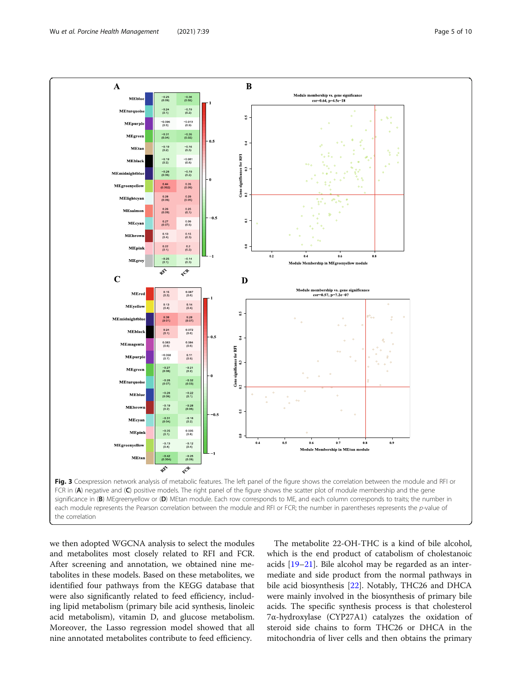<span id="page-4-0"></span>

we then adopted WGCNA analysis to select the modules and metabolites most closely related to RFI and FCR. After screening and annotation, we obtained nine metabolites in these models. Based on these metabolites, we identified four pathways from the KEGG database that were also significantly related to feed efficiency, including lipid metabolism (primary bile acid synthesis, linoleic acid metabolism), vitamin D, and glucose metabolism. Moreover, the Lasso regression model showed that all nine annotated metabolites contribute to feed efficiency.

The metabolite 22-OH-THC is a kind of bile alcohol, which is the end product of catabolism of cholestanoic acids [[19](#page-9-0)–[21](#page-9-0)]. Bile alcohol may be regarded as an intermediate and side product from the normal pathways in bile acid biosynthesis [[22\]](#page-9-0). Notably, THC26 and DHCA were mainly involved in the biosynthesis of primary bile acids. The specific synthesis process is that cholesterol 7α-hydroxylase (CYP27A1) catalyzes the oxidation of steroid side chains to form THC26 or DHCA in the mitochondria of liver cells and then obtains the primary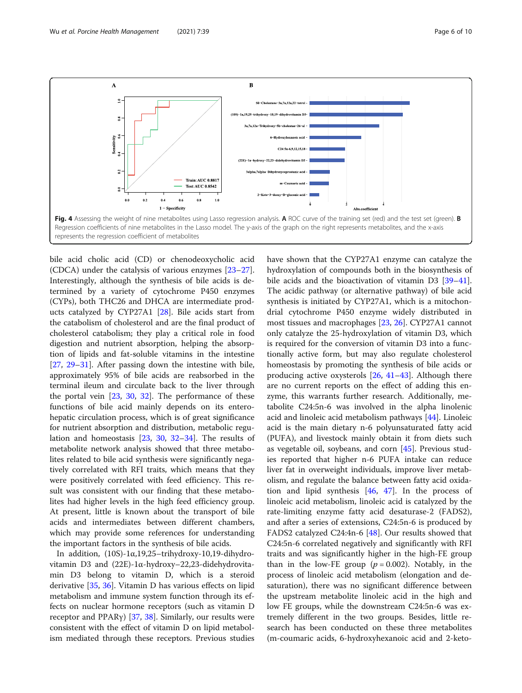<span id="page-5-0"></span>

bile acid cholic acid (CD) or chenodeoxycholic acid (CDCA) under the catalysis of various enzymes [[23](#page-9-0)–[27](#page-9-0)]. Interestingly, although the synthesis of bile acids is determined by a variety of cytochrome P450 enzymes (CYPs), both THC26 and DHCA are intermediate products catalyzed by CYP27A1 [\[28](#page-9-0)]. Bile acids start from the catabolism of cholesterol and are the final product of cholesterol catabolism; they play a critical role in food digestion and nutrient absorption, helping the absorption of lipids and fat-soluble vitamins in the intestine [[27,](#page-9-0) [29](#page-9-0)–[31](#page-9-0)]. After passing down the intestine with bile, approximately 95% of bile acids are reabsorbed in the terminal ileum and circulate back to the liver through the portal vein [\[23](#page-9-0), [30,](#page-9-0) [32](#page-9-0)]. The performance of these functions of bile acid mainly depends on its enterohepatic circulation process, which is of great significance for nutrient absorption and distribution, metabolic regulation and homeostasis [[23](#page-9-0), [30](#page-9-0), [32](#page-9-0)–[34](#page-9-0)]. The results of metabolite network analysis showed that three metabolites related to bile acid synthesis were significantly negatively correlated with RFI traits, which means that they were positively correlated with feed efficiency. This result was consistent with our finding that these metabolites had higher levels in the high feed efficiency group. At present, little is known about the transport of bile acids and intermediates between different chambers, which may provide some references for understanding the important factors in the synthesis of bile acids.

In addition, (10S)-1α,19,25–trihydroxy-10,19-dihydrovitamin D3 and (22E)-1α-hydroxy–22,23-didehydrovitamin D3 belong to vitamin D, which is a steroid derivative [\[35](#page-9-0), [36\]](#page-9-0). Vitamin D has various effects on lipid metabolism and immune system function through its effects on nuclear hormone receptors (such as vitamin D receptor and PPAR $\gamma$ ) [\[37,](#page-9-0) [38\]](#page-9-0). Similarly, our results were consistent with the effect of vitamin D on lipid metabolism mediated through these receptors. Previous studies have shown that the CYP27A1 enzyme can catalyze the hydroxylation of compounds both in the biosynthesis of bile acids and the bioactivation of vitamin D3 [[39](#page-9-0)–[41](#page-9-0)]. The acidic pathway (or alternative pathway) of bile acid synthesis is initiated by CYP27A1, which is a mitochondrial cytochrome P450 enzyme widely distributed in most tissues and macrophages [[23,](#page-9-0) [26\]](#page-9-0). CYP27A1 cannot only catalyze the 25-hydroxylation of vitamin D3, which is required for the conversion of vitamin D3 into a functionally active form, but may also regulate cholesterol homeostasis by promoting the synthesis of bile acids or producing active oxysterols [\[26,](#page-9-0) [41](#page-9-0)–[43](#page-9-0)]. Although there are no current reports on the effect of adding this enzyme, this warrants further research. Additionally, metabolite C24:5n-6 was involved in the alpha linolenic acid and linoleic acid metabolism pathways [[44\]](#page-9-0). Linoleic acid is the main dietary n-6 polyunsaturated fatty acid (PUFA), and livestock mainly obtain it from diets such as vegetable oil, soybeans, and corn [\[45](#page-9-0)]. Previous studies reported that higher n-6 PUFA intake can reduce liver fat in overweight individuals, improve liver metabolism, and regulate the balance between fatty acid oxidation and lipid synthesis  $[46, 47]$  $[46, 47]$  $[46, 47]$  $[46, 47]$ . In the process of linoleic acid metabolism, linoleic acid is catalyzed by the rate-limiting enzyme fatty acid desaturase-2 (FADS2), and after a series of extensions, C24:5n-6 is produced by FADS2 catalyzed C24:4n-6 [[48\]](#page-9-0). Our results showed that C24:5n-6 correlated negatively and significantly with RFI traits and was significantly higher in the high-FE group than in the low-FE group ( $p = 0.002$ ). Notably, in the process of linoleic acid metabolism (elongation and desaturation), there was no significant difference between the upstream metabolite linoleic acid in the high and low FE groups, while the downstream C24:5n-6 was extremely different in the two groups. Besides, little research has been conducted on these three metabolites (m-coumaric acids, 6-hydroxyhexanoic acid and 2-keto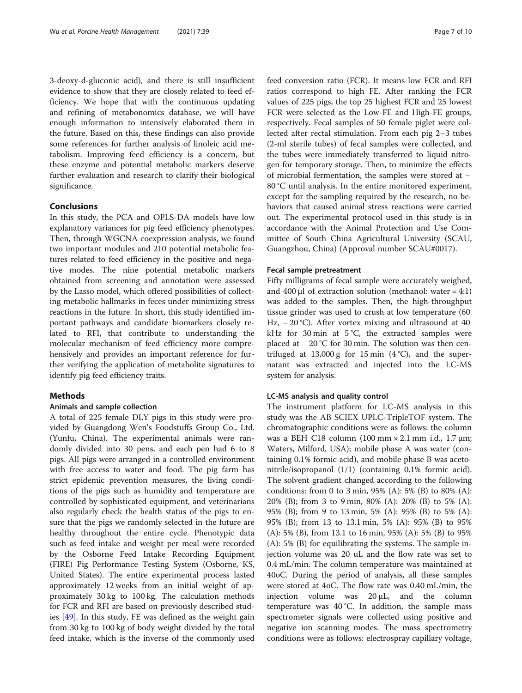3-deoxy-d-gluconic acid), and there is still insufficient evidence to show that they are closely related to feed efficiency. We hope that with the continuous updating and refining of metabonomics database, we will have enough information to intensively elaborated them in the future. Based on this, these findings can also provide some references for further analysis of linoleic acid metabolism. Improving feed efficiency is a concern, but these enzyme and potential metabolic markers deserve further evaluation and research to clarify their biological significance.

# Conclusions

In this study, the PCA and OPLS-DA models have low explanatory variances for pig feed efficiency phenotypes. Then, through WGCNA coexpression analysis, we found two important modules and 210 potential metabolic features related to feed efficiency in the positive and negative modes. The nine potential metabolic markers obtained from screening and annotation were assessed by the Lasso model, which offered possibilities of collecting metabolic hallmarks in feces under minimizing stress reactions in the future. In short, this study identified important pathways and candidate biomarkers closely related to RFI, that contribute to understanding the molecular mechanism of feed efficiency more comprehensively and provides an important reference for further verifying the application of metabolite signatures to identify pig feed efficiency traits.

# Methods

#### Animals and sample collection

A total of 225 female DLY pigs in this study were provided by Guangdong Wen's Foodstuffs Group Co., Ltd. (Yunfu, China). The experimental animals were randomly divided into 30 pens, and each pen had 6 to 8 pigs. All pigs were arranged in a controlled environment with free access to water and food. The pig farm has strict epidemic prevention measures, the living conditions of the pigs such as humidity and temperature are controlled by sophisticated equipment, and veterinarians also regularly check the health status of the pigs to ensure that the pigs we randomly selected in the future are healthy throughout the entire cycle. Phenotypic data such as feed intake and weight per meal were recorded by the Osborne Feed Intake Recording Equipment (FIRE) Pig Performance Testing System (Osborne, KS, United States). The entire experimental process lasted approximately 12 weeks from an initial weight of approximately 30 kg to 100 kg. The calculation methods for FCR and RFI are based on previously described studies [[49\]](#page-9-0). In this study, FE was defined as the weight gain from 30 kg to 100 kg of body weight divided by the total feed intake, which is the inverse of the commonly used feed conversion ratio (FCR). It means low FCR and RFI ratios correspond to high FE. After ranking the FCR values of 225 pigs, the top 25 highest FCR and 25 lowest FCR were selected as the Low-FE and High-FE groups, respectively. Fecal samples of 50 female piglet were collected after rectal stimulation. From each pig 2–3 tubes (2-ml sterile tubes) of fecal samples were collected, and the tubes were immediately transferred to liquid nitrogen for temporary storage. Then, to minimize the effects of microbial fermentation, the samples were stored at − 80 °C until analysis. In the entire monitored experiment, except for the sampling required by the research, no behaviors that caused animal stress reactions were carried out. The experimental protocol used in this study is in accordance with the Animal Protection and Use Committee of South China Agricultural University (SCAU, Guangzhou, China) (Approval number SCAU#0017).

#### Fecal sample pretreatment

Fifty milligrams of fecal sample were accurately weighed, and  $400 \mu l$  of extraction solution (methanol: water = 4:1) was added to the samples. Then, the high-throughput tissue grinder was used to crush at low temperature (60 Hz, − 20 °C). After vortex mixing and ultrasound at 40 kHz for 30 min at 5 °C, the extracted samples were placed at − 20 °C for 30 min. The solution was then centrifuged at 13,000 g for 15 min  $(4 °C)$ , and the supernatant was extracted and injected into the LC-MS system for analysis.

#### LC-MS analysis and quality control

The instrument platform for LC-MS analysis in this study was the AB SCIEX UPLC-TripleTOF system. The chromatographic conditions were as follows: the column was a BEH C18 column (100 mm × 2.1 mm i.d., 1.7 μm; Waters, Milford, USA); mobile phase A was water (containing 0.1% formic acid), and mobile phase B was acetonitrile/isopropanol (1/1) (containing 0.1% formic acid). The solvent gradient changed according to the following conditions: from 0 to 3 min, 95% (A): 5% (B) to 80% (A): 20% (B); from 3 to 9 min, 80% (A): 20% (B) to 5% (A): 95% (B); from 9 to 13 min, 5% (A): 95% (B) to 5% (A): 95% (B); from 13 to 13.1 min, 5% (A): 95% (B) to 95% (A): 5% (B), from 13.1 to 16 min, 95% (A): 5% (B) to 95% (A): 5% (B) for equilibrating the systems. The sample injection volume was 20 uL and the flow rate was set to 0.4 mL/min. The column temperature was maintained at 40oC. During the period of analysis, all these samples were stored at 4oC. The flow rate was 0.40 mL/min, the injection volume was 20 μL, and the column temperature was 40 °C. In addition, the sample mass spectrometer signals were collected using positive and negative ion scanning modes. The mass spectrometry conditions were as follows: electrospray capillary voltage,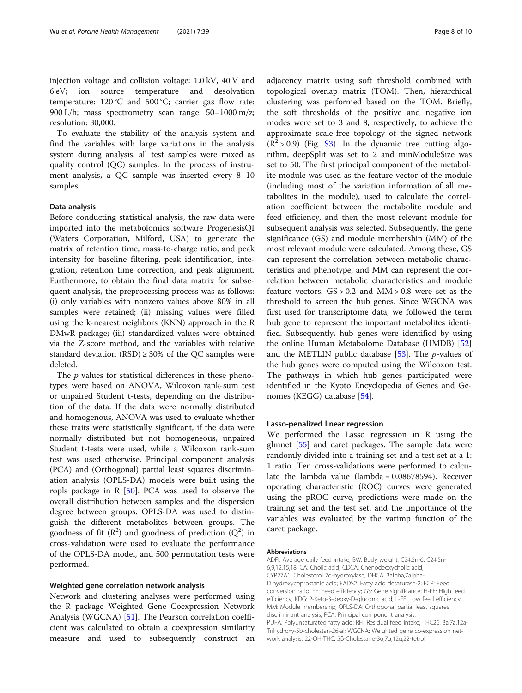injection voltage and collision voltage: 1.0 kV, 40 V and 6 eV; ion source temperature and desolvation temperature:  $120 °C$  and  $500 °C$ ; carrier gas flow rate: 900 L/h; mass spectrometry scan range: 50–1000 m/z; resolution: 30,000.

To evaluate the stability of the analysis system and find the variables with large variations in the analysis system during analysis, all test samples were mixed as quality control (QC) samples. In the process of instrument analysis, a QC sample was inserted every 8–10 samples.

#### Data analysis

Before conducting statistical analysis, the raw data were imported into the metabolomics software ProgenesisQI (Waters Corporation, Milford, USA) to generate the matrix of retention time, mass-to-charge ratio, and peak intensity for baseline filtering, peak identification, integration, retention time correction, and peak alignment. Furthermore, to obtain the final data matrix for subsequent analysis, the preprocessing process was as follows: (i) only variables with nonzero values above 80% in all samples were retained; (ii) missing values were filled using the k-nearest neighbors (KNN) approach in the R DMwR package; (iii) standardized values were obtained via the Z-score method, and the variables with relative standard deviation (RSD)  $\geq$  30% of the QC samples were deleted.

The  $p$  values for statistical differences in these phenotypes were based on ANOVA, Wilcoxon rank-sum test or unpaired Student t-tests, depending on the distribution of the data. If the data were normally distributed and homogenous, ANOVA was used to evaluate whether these traits were statistically significant, if the data were normally distributed but not homogeneous, unpaired Student t-tests were used, while a Wilcoxon rank-sum test was used otherwise. Principal component analysis (PCA) and (Orthogonal) partial least squares discrimination analysis (OPLS-DA) models were built using the ropls package in  $R$  [\[50\]](#page-9-0). PCA was used to observe the overall distribution between samples and the dispersion degree between groups. OPLS-DA was used to distinguish the different metabolites between groups. The goodness of fit  $(R^2)$  and goodness of prediction  $(Q^2)$  in cross-validation were used to evaluate the performance of the OPLS-DA model, and 500 permutation tests were performed.

## Weighted gene correlation network analysis

Network and clustering analyses were performed using the R package Weighted Gene Coexpression Network Analysis (WGCNA) [\[51](#page-9-0)]. The Pearson correlation coefficient was calculated to obtain a coexpression similarity measure and used to subsequently construct an

adjacency matrix using soft threshold combined with topological overlap matrix (TOM). Then, hierarchical clustering was performed based on the TOM. Briefly, the soft thresholds of the positive and negative ion modes were set to 3 and 8, respectively, to achieve the approximate scale-free topology of the signed network  $(R^2 > 0.9)$  (Fig. [S3](#page-8-0)). In the dynamic tree cutting algorithm, deepSplit was set to 2 and minModuleSize was set to 50. The first principal component of the metabolite module was used as the feature vector of the module (including most of the variation information of all metabolites in the module), used to calculate the correlation coefficient between the metabolite module and feed efficiency, and then the most relevant module for subsequent analysis was selected. Subsequently, the gene significance (GS) and module membership (MM) of the most relevant module were calculated. Among these, GS can represent the correlation between metabolic characteristics and phenotype, and MM can represent the correlation between metabolic characteristics and module feature vectors.  $GS > 0.2$  and  $MM > 0.8$  were set as the threshold to screen the hub genes. Since WGCNA was first used for transcriptome data, we followed the term hub gene to represent the important metabolites identified. Subsequently, hub genes were identified by using the online Human Metabolome Database (HMDB) [[52](#page-9-0)] and the METLIN public database  $[53]$  $[53]$ . The *p*-values of the hub genes were computed using the Wilcoxon test. The pathways in which hub genes participated were identified in the Kyoto Encyclopedia of Genes and Genomes (KEGG) database [\[54](#page-9-0)].

#### Lasso-penalized linear regression

We performed the Lasso regression in R using the glmnet [[55](#page-9-0)] and caret packages. The sample data were randomly divided into a training set and a test set at a 1: 1 ratio. Ten cross-validations were performed to calculate the lambda value (lambda = 0.08678594). Receiver operating characteristic (ROC) curves were generated using the pROC curve, predictions were made on the training set and the test set, and the importance of the variables was evaluated by the varimp function of the caret package.

#### Abbreviations

ADFI: Average daily feed intake; BW: Body weight; C24:5n-6: C24:5n-6,9,12,15,18; CA: Cholic acid; CDCA: Chenodeoxycholic acid; CYP27A1: Cholesterol 7α-hydroxylase; DHCA: 3alpha,7alpha-Dihydroxycoprostanic acid; FADS2: Fatty acid desaturase-2; FCR: Feed conversion ratio; FE: Feed efficiency; GS: Gene significance; H-FE: High feed efficiency; KDG: 2-Keto-3-deoxy-D-gluconic acid; L-FE: Low feed efficiency; MM: Module membership; OPLS-DA: Orthogonal partial least squares discriminant analysis; PCA: Principal component analysis; PUFA: Polyunsaturated fatty acid; RFI: Residual feed intake; THC26: 3a,7a,12a-Trihydroxy-5b-cholestan-26-al; WGCNA: Weighted gene co-expression network analysis; 22-OH-THC: 5β-Cholestane-3α,7α,12α,22-tetrol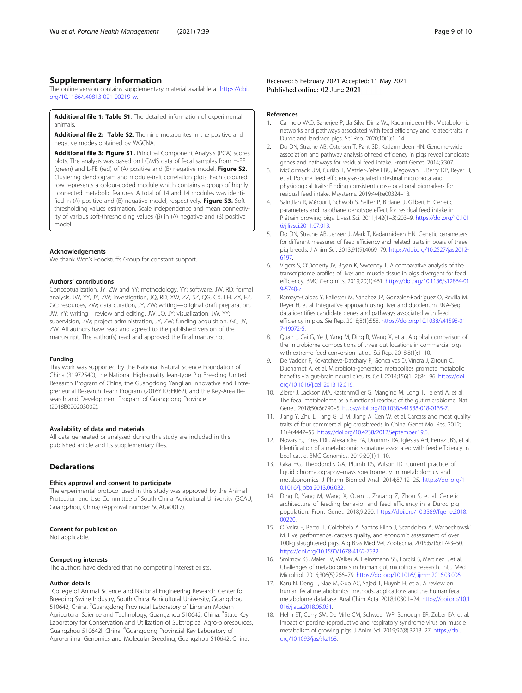# <span id="page-8-0"></span>Supplementary Information

The online version contains supplementary material available at [https://doi.](https://doi.org/10.1186/s40813-021-00219-w) [org/10.1186/s40813-021-00219-w](https://doi.org/10.1186/s40813-021-00219-w).

Additional file 1: Table S1. The detailed information of experimental animals.

Additional file 2: Table S2. The nine metabolites in the positive and negative modes obtained by WGCNA.

Additional file 3: Figure S1. Principal Component Analysis (PCA) scores plots. The analysis was based on LC/MS data of fecal samples from H-FE (green) and L-FE (red) of (A) positive and (B) negative model. Figure S2. Clustering dendrogram and module-trait correlation plots. Each coloured row represents a colour-coded module which contains a group of highly connected metabolic features. A total of 14 and 14 modules was identified in (A) positive and (B) negative model, respectively. Figure S3. Softthresholding values estimation. Scale independence and mean connectivity of various soft-thresholding values (β) in (A) negative and (B) positive model.

#### Acknowledgements

We thank Wen's Foodstuffs Group for constant support.

#### Authors' contributions

Conceptualization, JY, ZW and YY; methodology, YY; software, JW, RD; formal analysis, JW, YY, JY, ZW; investigation, JQ, RD, XW, ZZ, SZ, QG, CX, LH, ZX, EZ, GC; resources, ZW; data curation, JY, ZW; writing—original draft preparation, JW, YY; writing—review and editing, JW, JQ, JY; visualization, JW, YY; supervision, ZW; project administration, JY, ZW; funding acquisition, GC, JY, ZW. All authors have read and agreed to the published version of the manuscript. The author(s) read and approved the final manuscript.

#### Funding

This work was supported by the National Natural Science Foundation of China (31972540), the National High-quality lean-type Pig Breeding United Research Program of China, the Guangdong YangFan Innovative and Entrepreneurial Research Team Program (2016YT03H062), and the Key-Area Research and Development Program of Guangdong Province (2018B020203002).

#### Availability of data and materials

All data generated or analysed during this study are included in this published article and its supplementary files.

# Declarations

#### Ethics approval and consent to participate

The experimental protocol used in this study was approved by the Animal Protection and Use Committee of South China Agricultural University (SCAU, Guangzhou, China) (Approval number SCAU#0017).

#### Consent for publication

Not applicable.

#### Competing interests

The authors have declared that no competing interest exists.

#### Author details

<sup>1</sup>College of Animal Science and National Engineering Research Center for Breeding Swine Industry, South China Agricultural University, Guangzhou 510642, China. <sup>2</sup>Guangdong Provincial Laboratory of Lingnan Modern Agricultural Science and Technology, Guangzhou 510642, China. <sup>3</sup>State Key Laboratory for Conservation and Utilization of Subtropical Agro-bioresources, Guangzhou 510642l, China. <sup>4</sup>Guangdong Provincial Key Laboratory of Agro-animal Genomics and Molecular Breeding, Guangzhou 510642, China.

#### References

- 1. Carmelo VAO, Banerjee P, da Silva Diniz WJ, Kadarmideen HN. Metabolomic networks and pathways associated with feed efficiency and related-traits in Duroc and landrace pigs. Sci Rep. 2020;10(1):1–14.
- 2. Do DN, Strathe AB, Ostersen T, Pant SD, Kadarmideen HN. Genome-wide association and pathway analysis of feed efficiency in pigs reveal candidate genes and pathways for residual feed intake. Front Genet. 2014;5:307.
- 3. McCormack UM, Curião T, Metzler-Zebeli BU, Magowan E, Berry DP, Reyer H, et al. Porcine feed efficiency-associated intestinal microbiota and physiological traits: Finding consistent cross-locational biomarkers for residual feed intake. Msystems. 2019;4(4):e00324–18.
- 4. Saintilan R, Mérour I, Schwob S, Sellier P, Bidanel J, Gilbert H. Genetic parameters and halothane genotype effect for residual feed intake in Piétrain growing pigs. Livest Sci. 2011;142(1–3):203–9. [https://doi.org/10.101](https://doi.org/10.1016/j.livsci.2011.07.013) [6/j.livsci.2011.07.013.](https://doi.org/10.1016/j.livsci.2011.07.013)
- 5. Do DN, Strathe AB, Jensen J, Mark T, Kadarmideen HN. Genetic parameters for different measures of feed efficiency and related traits in boars of three pig breeds. J Anim Sci. 2013;91(9):4069–79. [https://doi.org/10.2527/jas.2012-](https://doi.org/10.2527/jas.2012-6197) [6197](https://doi.org/10.2527/jas.2012-6197).
- 6. Vigors S, O'Doherty JV, Bryan K, Sweeney T. A comparative analysis of the transcriptome profiles of liver and muscle tissue in pigs divergent for feed efficiency. BMC Genomics. 2019;20(1):461. [https://doi.org/10.1186/s12864-01](https://doi.org/10.1186/s12864-019-5740-z) [9-5740-z.](https://doi.org/10.1186/s12864-019-5740-z)
- 7. Ramayo-Caldas Y, Ballester M, Sánchez JP, González-Rodríguez O, Revilla M, Reyer H, et al. Integrative approach using liver and duodenum RNA-Seq data identifies candidate genes and pathways associated with feed efficiency in pigs. Sie Rep. 2018;8(1):558. [https://doi.org/10.1038/s41598-01](https://doi.org/10.1038/s41598-017-19072-5) [7-19072-5.](https://doi.org/10.1038/s41598-017-19072-5)
- 8. Quan J, Cai G, Ye J, Yang M, Ding R, Wang X, et al. A global comparison of the microbiome compositions of three gut locations in commercial pigs with extreme feed conversion ratios. Sci Rep. 2018;8(1):1–10.
- 9. De Vadder F, Kovatcheva-Datchary P, Goncalves D, Vinera J, Zitoun C, Duchampt A, et al. Microbiota-generated metabolites promote metabolic benefits via gut-brain neural circuits. Cell. 2014;156(1–2):84–96. [https://doi.](https://doi.org/10.1016/j.cell.2013.12.016) [org/10.1016/j.cell.2013.12.016](https://doi.org/10.1016/j.cell.2013.12.016).
- 10. Zierer J, Jackson MA, Kastenmüller G, Mangino M, Long T, Telenti A, et al. The fecal metabolome as a functional readout of the gut microbiome. Nat Genet. 2018;50(6):790–5. <https://doi.org/10.1038/s41588-018-0135-7>.
- 11. Jiang Y, Zhu L, Tang G, Li M, Jiang A, Cen W, et al. Carcass and meat quality traits of four commercial pig crossbreeds in China. Genet Mol Res. 2012; 11(4):4447–55. <https://doi.org/10.4238/2012.September.19.6>.
- 12. Novais FJ, Pires PRL, Alexandre PA, Dromms RA, Iglesias AH, Ferraz JBS, et al. Identification of a metabolomic signature associated with feed efficiency in beef cattle. BMC Genomics. 2019;20(1):1–10.
- 13. Gika HG, Theodoridis GA, Plumb RS, Wilson ID. Current practice of liquid chromatography–mass spectrometry in metabolomics and metabonomics. J Pharm Biomed Anal. 2014;87:12–25. [https://doi.org/1](https://doi.org/10.1016/j.jpba.2013.06.032) [0.1016/j.jpba.2013.06.032](https://doi.org/10.1016/j.jpba.2013.06.032).
- 14. Ding R, Yang M, Wang X, Quan J, Zhuang Z, Zhou S, et al. Genetic architecture of feeding behavior and feed efficiency in a Duroc pig population. Front Genet. 2018;9:220. [https://doi.org/10.3389/fgene.2018.](https://doi.org/10.3389/fgene.2018.00220) [00220](https://doi.org/10.3389/fgene.2018.00220).
- 15. Oliveira E, Bertol T, Coldebela A, Santos Filho J, Scandolera A, Warpechowski M. Live performance, carcass quality, and economic assessment of over 100kg slaughtered pigs. Arq Bras Med Vet Zootecnia. 2015;67(6):1743–50. <https://doi.org/10.1590/1678-4162-7632>.
- 16. Smirnov KS, Maier TV, Walker A, Heinzmann SS, Forcisi S, Martinez I, et al. Challenges of metabolomics in human gut microbiota research. Int J Med Microbiol. 2016;306(5):266–79. [https://doi.org/10.1016/j.ijmm.2016.03.006.](https://doi.org/10.1016/j.ijmm.2016.03.006)
- 17. Karu N, Deng L, Slae M, Guo AC, Sajed T, Huynh H, et al. A review on human fecal metabolomics: methods, applications and the human fecal metabolome database. Anal Chim Acta. 2018;1030:1–24. [https://doi.org/10.1](https://doi.org/10.1016/j.aca.2018.05.031) [016/j.aca.2018.05.031.](https://doi.org/10.1016/j.aca.2018.05.031)
- 18. Helm ET, Curry SM, De Mille CM, Schweer WP, Burrough ER, Zuber EA, et al. Impact of porcine reproductive and respiratory syndrome virus on muscle metabolism of growing pigs. J Anim Sci. 2019;97(8):3213–27. [https://doi.](https://doi.org/10.1093/jas/skz168) [org/10.1093/jas/skz168](https://doi.org/10.1093/jas/skz168).